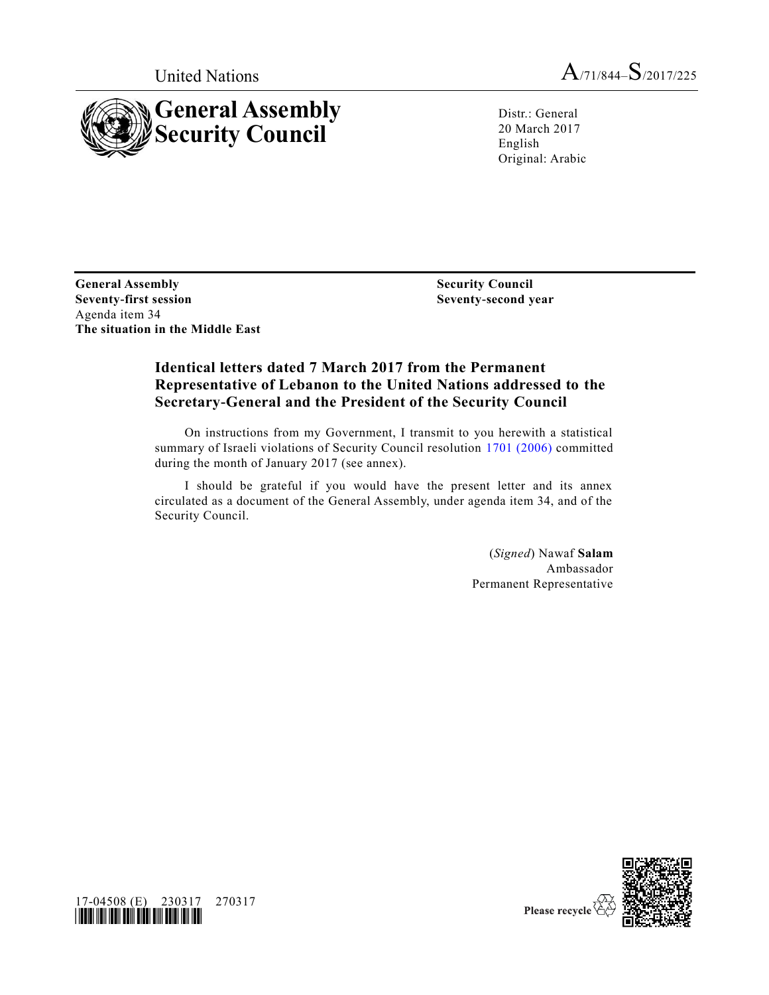

United Nations  $A_{71/844} - S_{72017/225}$ 

Distr.: General 20 March 2017 English Original: Arabic

**General Assembly Seventy-first session** Agenda item 34 **The situation in the Middle East**

**Security Council Seventy-second year**

## **Identical letters dated 7 March 2017 from the Permanent Representative of Lebanon to the United Nations addressed to the Secretary-General and the President of the Security Council**

On instructions from my Government, I transmit to you herewith a statistical summary of Israeli violations of Security Council resolution [1701 \(2006\)](http://undocs.org/S/RES/1701(2006)) committed during the month of January 2017 (see annex).

I should be grateful if you would have the present letter and its annex circulated as a document of the General Assembly, under agenda item 34, and of the Security Council.

> (*Signed*) Nawaf **Salam** Ambassador Permanent Representative



17-04508 (E) 230317 270317 *\*1704508\**

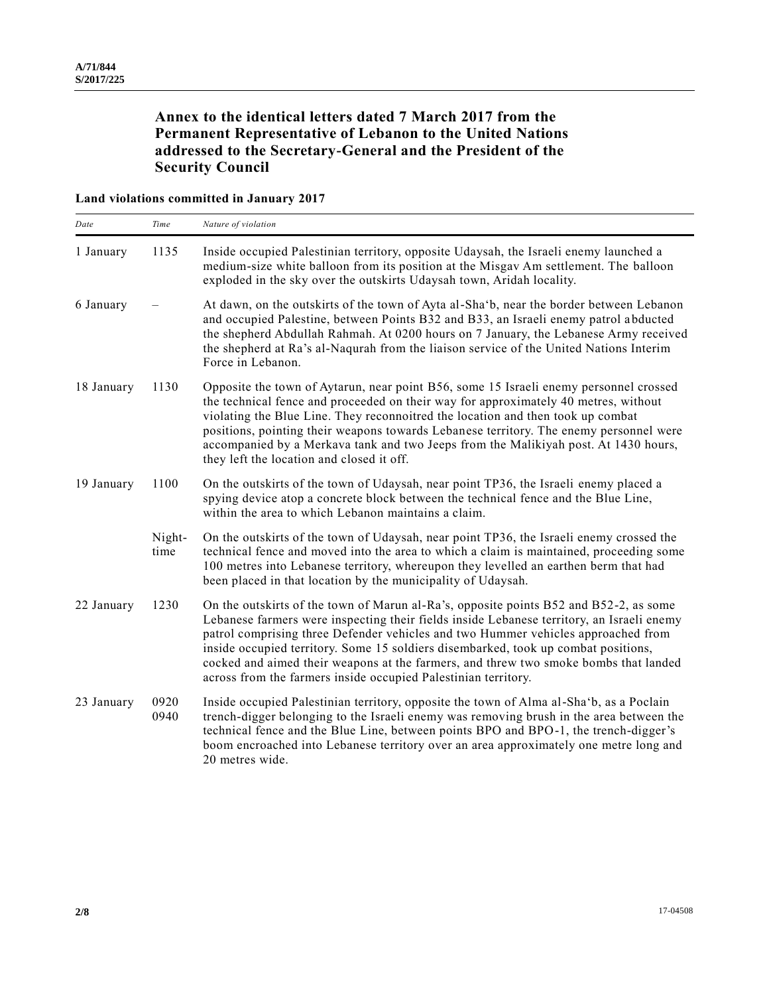## **Annex to the identical letters dated 7 March 2017 from the Permanent Representative of Lebanon to the United Nations addressed to the Secretary-General and the President of the Security Council**

#### **Land violations committed in January 2017**

| Date       | Time           | Nature of violation                                                                                                                                                                                                                                                                                                                                                                                                                                                                                                     |
|------------|----------------|-------------------------------------------------------------------------------------------------------------------------------------------------------------------------------------------------------------------------------------------------------------------------------------------------------------------------------------------------------------------------------------------------------------------------------------------------------------------------------------------------------------------------|
| 1 January  | 1135           | Inside occupied Palestinian territory, opposite Udaysah, the Israeli enemy launched a<br>medium-size white balloon from its position at the Misgav Am settlement. The balloon<br>exploded in the sky over the outskirts Udaysah town, Aridah locality.                                                                                                                                                                                                                                                                  |
| 6 January  |                | At dawn, on the outskirts of the town of Ayta al-Sha'b, near the border between Lebanon<br>and occupied Palestine, between Points B32 and B33, an Israeli enemy patrol abducted<br>the shepherd Abdullah Rahmah. At 0200 hours on 7 January, the Lebanese Army received<br>the shepherd at Ra's al-Nagurah from the liaison service of the United Nations Interim<br>Force in Lebanon.                                                                                                                                  |
| 18 January | 1130           | Opposite the town of Aytarun, near point B56, some 15 Israeli enemy personnel crossed<br>the technical fence and proceeded on their way for approximately 40 metres, without<br>violating the Blue Line. They reconnoitred the location and then took up combat<br>positions, pointing their weapons towards Lebanese territory. The enemy personnel were<br>accompanied by a Merkava tank and two Jeeps from the Malikiyah post. At 1430 hours,<br>they left the location and closed it off.                           |
| 19 January | 1100           | On the outskirts of the town of Udaysah, near point TP36, the Israeli enemy placed a<br>spying device atop a concrete block between the technical fence and the Blue Line,<br>within the area to which Lebanon maintains a claim.                                                                                                                                                                                                                                                                                       |
|            | Night-<br>time | On the outskirts of the town of Udaysah, near point TP36, the Israeli enemy crossed the<br>technical fence and moved into the area to which a claim is maintained, proceeding some<br>100 metres into Lebanese territory, whereupon they levelled an earthen berm that had<br>been placed in that location by the municipality of Udaysah.                                                                                                                                                                              |
| 22 January | 1230           | On the outskirts of the town of Marun al-Ra's, opposite points B52 and B52-2, as some<br>Lebanese farmers were inspecting their fields inside Lebanese territory, an Israeli enemy<br>patrol comprising three Defender vehicles and two Hummer vehicles approached from<br>inside occupied territory. Some 15 soldiers disembarked, took up combat positions,<br>cocked and aimed their weapons at the farmers, and threw two smoke bombs that landed<br>across from the farmers inside occupied Palestinian territory. |
| 23 January | 0920<br>0940   | Inside occupied Palestinian territory, opposite the town of Alma al-Sha'b, as a Poclain<br>trench-digger belonging to the Israeli enemy was removing brush in the area between the<br>technical fence and the Blue Line, between points BPO and BPO-1, the trench-digger's<br>boom encroached into Lebanese territory over an area approximately one metre long and<br>20 metres wide.                                                                                                                                  |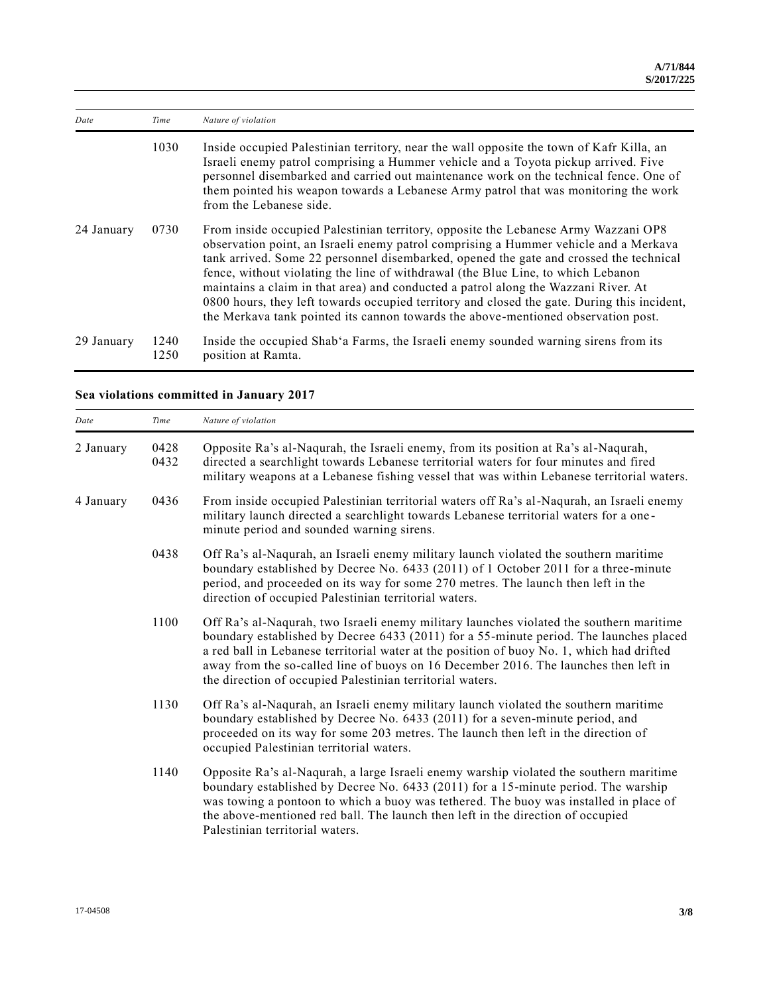| Date       | Time         | Nature of violation                                                                                                                                                                                                                                                                                                                                                                                                                                                                                                                                                                                                                |
|------------|--------------|------------------------------------------------------------------------------------------------------------------------------------------------------------------------------------------------------------------------------------------------------------------------------------------------------------------------------------------------------------------------------------------------------------------------------------------------------------------------------------------------------------------------------------------------------------------------------------------------------------------------------------|
|            | 1030         | Inside occupied Palestinian territory, near the wall opposite the town of Kafr Killa, an<br>Israeli enemy patrol comprising a Hummer vehicle and a Toyota pickup arrived. Five<br>personnel disembarked and carried out maintenance work on the technical fence. One of<br>them pointed his weapon towards a Lebanese Army patrol that was monitoring the work<br>from the Lebanese side.                                                                                                                                                                                                                                          |
| 24 January | 0730         | From inside occupied Palestinian territory, opposite the Lebanese Army Wazzani OP8<br>observation point, an Israeli enemy patrol comprising a Hummer vehicle and a Merkava<br>tank arrived. Some 22 personnel disembarked, opened the gate and crossed the technical<br>fence, without violating the line of withdrawal (the Blue Line, to which Lebanon<br>maintains a claim in that area) and conducted a patrol along the Wazzani River. At<br>0800 hours, they left towards occupied territory and closed the gate. During this incident,<br>the Merkava tank pointed its cannon towards the above-mentioned observation post. |
| 29 January | 1240<br>1250 | Inside the occupied Shab'a Farms, the Israeli enemy sounded warning sirens from its<br>position at Ramta.                                                                                                                                                                                                                                                                                                                                                                                                                                                                                                                          |

# **Sea violations committed in January 2017**

| Date      | Time         | Nature of violation                                                                                                                                                                                                                                                                                                                                                                                                                 |
|-----------|--------------|-------------------------------------------------------------------------------------------------------------------------------------------------------------------------------------------------------------------------------------------------------------------------------------------------------------------------------------------------------------------------------------------------------------------------------------|
| 2 January | 0428<br>0432 | Opposite Ra's al-Naqurah, the Israeli enemy, from its position at Ra's al-Naqurah,<br>directed a searchlight towards Lebanese territorial waters for four minutes and fired<br>military weapons at a Lebanese fishing vessel that was within Lebanese territorial waters.                                                                                                                                                           |
| 4 January | 0436         | From inside occupied Palestinian territorial waters off Ra's al-Naqurah, an Israeli enemy<br>military launch directed a searchlight towards Lebanese territorial waters for a one-<br>minute period and sounded warning sirens.                                                                                                                                                                                                     |
|           | 0438         | Off Ra's al-Naqurah, an Israeli enemy military launch violated the southern maritime<br>boundary established by Decree No. 6433 (2011) of 1 October 2011 for a three-minute<br>period, and proceeded on its way for some 270 metres. The launch then left in the<br>direction of occupied Palestinian territorial waters.                                                                                                           |
|           | 1100         | Off Ra's al-Naqurah, two Israeli enemy military launches violated the southern maritime<br>boundary established by Decree 6433 (2011) for a 55-minute period. The launches placed<br>a red ball in Lebanese territorial water at the position of buoy No. 1, which had drifted<br>away from the so-called line of buoys on 16 December 2016. The launches then left in<br>the direction of occupied Palestinian territorial waters. |
|           | 1130         | Off Ra's al-Naqurah, an Israeli enemy military launch violated the southern maritime<br>boundary established by Decree No. 6433 (2011) for a seven-minute period, and<br>proceeded on its way for some 203 metres. The launch then left in the direction of<br>occupied Palestinian territorial waters.                                                                                                                             |
|           | 1140         | Opposite Ra's al-Naqurah, a large Israeli enemy warship violated the southern maritime<br>boundary established by Decree No. 6433 (2011) for a 15-minute period. The warship<br>was towing a pontoon to which a buoy was tethered. The buoy was installed in place of<br>the above-mentioned red ball. The launch then left in the direction of occupied<br>Palestinian territorial waters.                                         |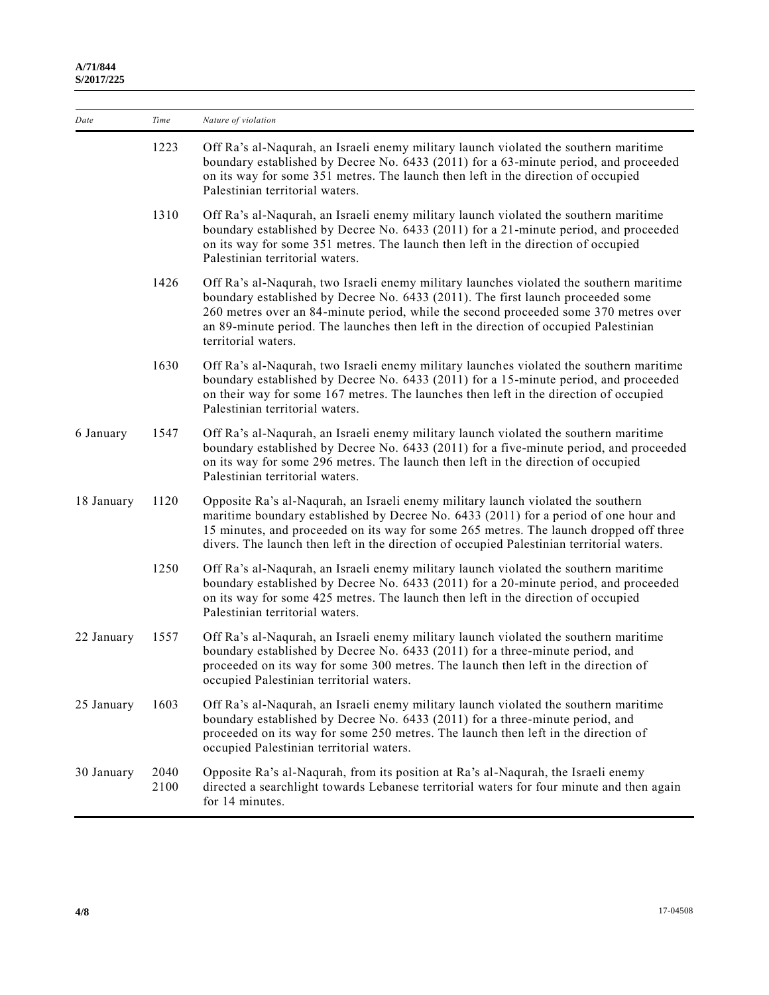| Date       | Time         | Nature of violation                                                                                                                                                                                                                                                                                                                                                               |
|------------|--------------|-----------------------------------------------------------------------------------------------------------------------------------------------------------------------------------------------------------------------------------------------------------------------------------------------------------------------------------------------------------------------------------|
|            | 1223         | Off Ra's al-Naqurah, an Israeli enemy military launch violated the southern maritime<br>boundary established by Decree No. 6433 (2011) for a 63-minute period, and proceeded<br>on its way for some 351 metres. The launch then left in the direction of occupied<br>Palestinian territorial waters.                                                                              |
|            | 1310         | Off Ra's al-Naqurah, an Israeli enemy military launch violated the southern maritime<br>boundary established by Decree No. 6433 (2011) for a 21-minute period, and proceeded<br>on its way for some 351 metres. The launch then left in the direction of occupied<br>Palestinian territorial waters.                                                                              |
|            | 1426         | Off Ra's al-Naqurah, two Israeli enemy military launches violated the southern maritime<br>boundary established by Decree No. 6433 (2011). The first launch proceeded some<br>260 metres over an 84-minute period, while the second proceeded some 370 metres over<br>an 89-minute period. The launches then left in the direction of occupied Palestinian<br>territorial waters. |
|            | 1630         | Off Ra's al-Naqurah, two Israeli enemy military launches violated the southern maritime<br>boundary established by Decree No. 6433 (2011) for a 15-minute period, and proceeded<br>on their way for some 167 metres. The launches then left in the direction of occupied<br>Palestinian territorial waters.                                                                       |
| 6 January  | 1547         | Off Ra's al-Naqurah, an Israeli enemy military launch violated the southern maritime<br>boundary established by Decree No. 6433 (2011) for a five-minute period, and proceeded<br>on its way for some 296 metres. The launch then left in the direction of occupied<br>Palestinian territorial waters.                                                                            |
| 18 January | 1120         | Opposite Ra's al-Naqurah, an Israeli enemy military launch violated the southern<br>maritime boundary established by Decree No. 6433 (2011) for a period of one hour and<br>15 minutes, and proceeded on its way for some 265 metres. The launch dropped off three<br>divers. The launch then left in the direction of occupied Palestinian territorial waters.                   |
|            | 1250         | Off Ra's al-Naqurah, an Israeli enemy military launch violated the southern maritime<br>boundary established by Decree No. 6433 (2011) for a 20-minute period, and proceeded<br>on its way for some 425 metres. The launch then left in the direction of occupied<br>Palestinian territorial waters.                                                                              |
| 22 January | 1557         | Off Ra's al-Naqurah, an Israeli enemy military launch violated the southern maritime<br>boundary established by Decree No. 6433 (2011) for a three-minute period, and<br>proceeded on its way for some 300 metres. The launch then left in the direction of<br>occupied Palestinian territorial waters.                                                                           |
| 25 January | 1603         | Off Ra's al-Naqurah, an Israeli enemy military launch violated the southern maritime<br>boundary established by Decree No. 6433 (2011) for a three-minute period, and<br>proceeded on its way for some 250 metres. The launch then left in the direction of<br>occupied Palestinian territorial waters.                                                                           |
| 30 January | 2040<br>2100 | Opposite Ra's al-Naqurah, from its position at Ra's al-Naqurah, the Israeli enemy<br>directed a searchlight towards Lebanese territorial waters for four minute and then again<br>for 14 minutes.                                                                                                                                                                                 |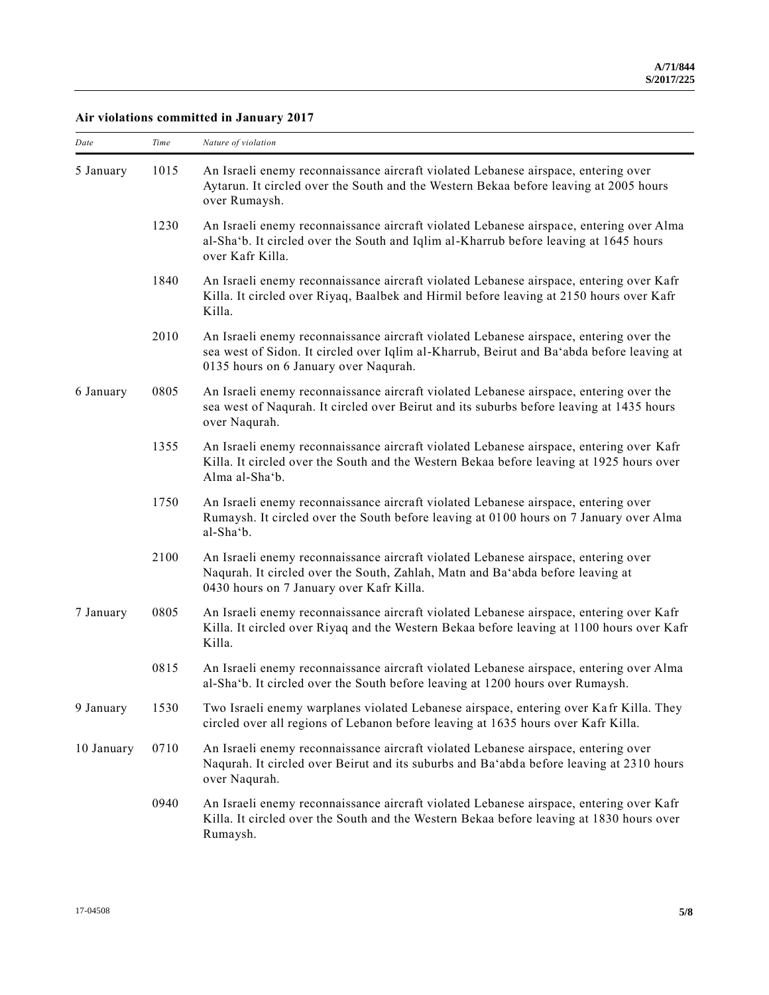### **Air violations committed in January 2017**

| Date       | Time | Nature of violation                                                                                                                                                                                                          |
|------------|------|------------------------------------------------------------------------------------------------------------------------------------------------------------------------------------------------------------------------------|
| 5 January  | 1015 | An Israeli enemy reconnaissance aircraft violated Lebanese airspace, entering over<br>Aytarun. It circled over the South and the Western Bekaa before leaving at 2005 hours<br>over Rumaysh.                                 |
|            | 1230 | An Israeli enemy reconnaissance aircraft violated Lebanese airspace, entering over Alma<br>al-Sha'b. It circled over the South and Iqlim al-Kharrub before leaving at 1645 hours<br>over Kafr Killa.                         |
|            | 1840 | An Israeli enemy reconnaissance aircraft violated Lebanese airspace, entering over Kafr<br>Killa. It circled over Riyaq, Baalbek and Hirmil before leaving at 2150 hours over Kafr<br>Killa.                                 |
|            | 2010 | An Israeli enemy reconnaissance aircraft violated Lebanese airspace, entering over the<br>sea west of Sidon. It circled over Iqlim al-Kharrub, Beirut and Ba'abda before leaving at<br>0135 hours on 6 January over Naqurah. |
| 6 January  | 0805 | An Israeli enemy reconnaissance aircraft violated Lebanese airspace, entering over the<br>sea west of Naqurah. It circled over Beirut and its suburbs before leaving at 1435 hours<br>over Naqurah.                          |
|            | 1355 | An Israeli enemy reconnaissance aircraft violated Lebanese airspace, entering over Kafr<br>Killa. It circled over the South and the Western Bekaa before leaving at 1925 hours over<br>Alma al-Sha'b.                        |
|            | 1750 | An Israeli enemy reconnaissance aircraft violated Lebanese airspace, entering over<br>Rumaysh. It circled over the South before leaving at 0100 hours on 7 January over Alma<br>al-Sha'b.                                    |
|            | 2100 | An Israeli enemy reconnaissance aircraft violated Lebanese airspace, entering over<br>Naqurah. It circled over the South, Zahlah, Matn and Ba'abda before leaving at<br>0430 hours on 7 January over Kafr Killa.             |
| 7 January  | 0805 | An Israeli enemy reconnaissance aircraft violated Lebanese airspace, entering over Kafr<br>Killa. It circled over Riyaq and the Western Bekaa before leaving at 1100 hours over Kafr<br>Killa.                               |
|            | 0815 | An Israeli enemy reconnaissance aircraft violated Lebanese airspace, entering over Alma<br>al-Sha'b. It circled over the South before leaving at 1200 hours over Rumaysh.                                                    |
| 9 January  | 1530 | Two Israeli enemy warplanes violated Lebanese airspace, entering over Kafr Killa. They<br>circled over all regions of Lebanon before leaving at 1635 hours over Kafr Killa.                                                  |
| 10 January | 0710 | An Israeli enemy reconnaissance aircraft violated Lebanese airspace, entering over<br>Naqurah. It circled over Beirut and its suburbs and Ba'abda before leaving at 2310 hours<br>over Naqurah.                              |
|            | 0940 | An Israeli enemy reconnaissance aircraft violated Lebanese airspace, entering over Kafr<br>Killa. It circled over the South and the Western Bekaa before leaving at 1830 hours over<br>Rumaysh.                              |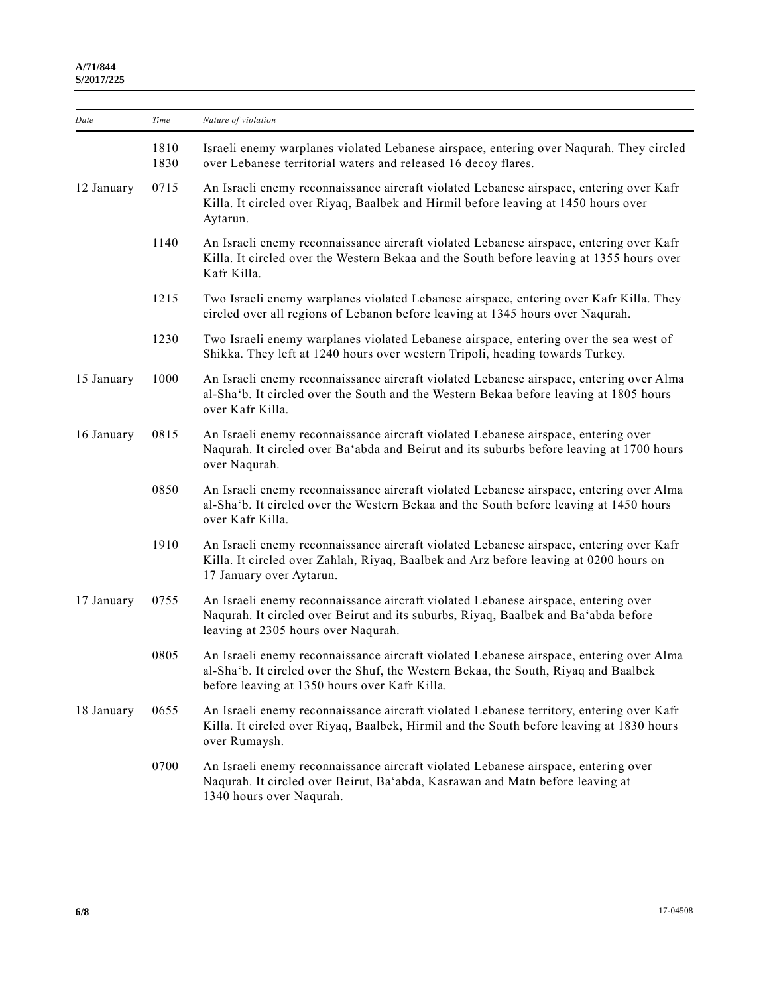| Date       | Time         | Nature of violation                                                                                                                                                                                                             |
|------------|--------------|---------------------------------------------------------------------------------------------------------------------------------------------------------------------------------------------------------------------------------|
|            | 1810<br>1830 | Israeli enemy warplanes violated Lebanese airspace, entering over Naqurah. They circled<br>over Lebanese territorial waters and released 16 decoy flares.                                                                       |
| 12 January | 0715         | An Israeli enemy reconnaissance aircraft violated Lebanese airspace, entering over Kafr<br>Killa. It circled over Riyaq, Baalbek and Hirmil before leaving at 1450 hours over<br>Aytarun.                                       |
|            | 1140         | An Israeli enemy reconnaissance aircraft violated Lebanese airspace, entering over Kafr<br>Killa. It circled over the Western Bekaa and the South before leaving at 1355 hours over<br>Kafr Killa.                              |
|            | 1215         | Two Israeli enemy warplanes violated Lebanese airspace, entering over Kafr Killa. They<br>circled over all regions of Lebanon before leaving at 1345 hours over Naqurah.                                                        |
|            | 1230         | Two Israeli enemy warplanes violated Lebanese airspace, entering over the sea west of<br>Shikka. They left at 1240 hours over western Tripoli, heading towards Turkey.                                                          |
| 15 January | 1000         | An Israeli enemy reconnaissance aircraft violated Lebanese airspace, entering over Alma<br>al-Sha'b. It circled over the South and the Western Bekaa before leaving at 1805 hours<br>over Kafr Killa.                           |
| 16 January | 0815         | An Israeli enemy reconnaissance aircraft violated Lebanese airspace, entering over<br>Naqurah. It circled over Ba'abda and Beirut and its suburbs before leaving at 1700 hours<br>over Naqurah.                                 |
|            | 0850         | An Israeli enemy reconnaissance aircraft violated Lebanese airspace, entering over Alma<br>al-Sha'b. It circled over the Western Bekaa and the South before leaving at 1450 hours<br>over Kafr Killa.                           |
|            | 1910         | An Israeli enemy reconnaissance aircraft violated Lebanese airspace, entering over Kafr<br>Killa. It circled over Zahlah, Riyaq, Baalbek and Arz before leaving at 0200 hours on<br>17 January over Aytarun.                    |
| 17 January | 0755         | An Israeli enemy reconnaissance aircraft violated Lebanese airspace, entering over<br>Naqurah. It circled over Beirut and its suburbs, Riyaq, Baalbek and Ba'abda before<br>leaving at 2305 hours over Naqurah.                 |
|            | 0805         | An Israeli enemy reconnaissance aircraft violated Lebanese airspace, entering over Alma<br>al-Sha'b. It circled over the Shuf, the Western Bekaa, the South, Riyaq and Baalbek<br>before leaving at 1350 hours over Kafr Killa. |
| 18 January | 0655         | An Israeli enemy reconnaissance aircraft violated Lebanese territory, entering over Kafr<br>Killa. It circled over Riyaq, Baalbek, Hirmil and the South before leaving at 1830 hours<br>over Rumaysh.                           |
|            | 0700         | An Israeli enemy reconnaissance aircraft violated Lebanese airspace, entering over<br>Naqurah. It circled over Beirut, Ba'abda, Kasrawan and Matn before leaving at<br>1340 hours over Naqurah.                                 |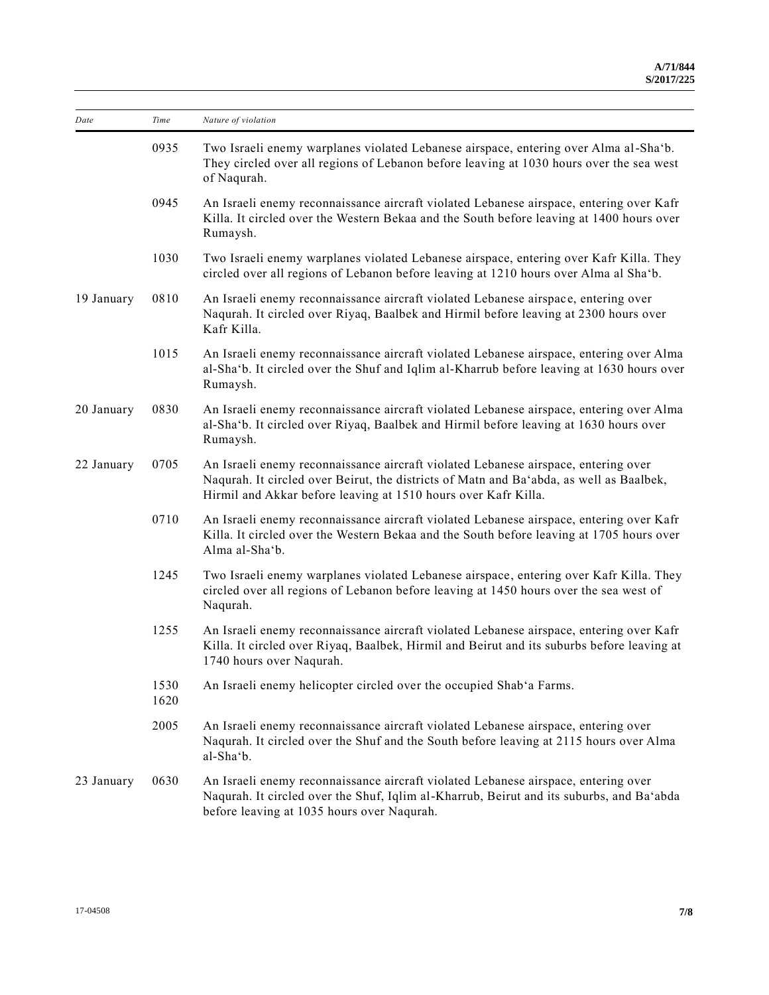| Date       | Time         | Nature of violation                                                                                                                                                                                                                             |
|------------|--------------|-------------------------------------------------------------------------------------------------------------------------------------------------------------------------------------------------------------------------------------------------|
|            | 0935         | Two Israeli enemy warplanes violated Lebanese airspace, entering over Alma al-Sha'b.<br>They circled over all regions of Lebanon before leaving at 1030 hours over the sea west<br>of Naqurah.                                                  |
|            | 0945         | An Israeli enemy reconnaissance aircraft violated Lebanese airspace, entering over Kafr<br>Killa. It circled over the Western Bekaa and the South before leaving at 1400 hours over<br>Rumaysh.                                                 |
|            | 1030         | Two Israeli enemy warplanes violated Lebanese airspace, entering over Kafr Killa. They<br>circled over all regions of Lebanon before leaving at 1210 hours over Alma al Sha'b.                                                                  |
| 19 January | 0810         | An Israeli enemy reconnaissance aircraft violated Lebanese airspace, entering over<br>Naqurah. It circled over Riyaq, Baalbek and Hirmil before leaving at 2300 hours over<br>Kafr Killa.                                                       |
|            | 1015         | An Israeli enemy reconnaissance aircraft violated Lebanese airspace, entering over Alma<br>al-Sha'b. It circled over the Shuf and Iqlim al-Kharrub before leaving at 1630 hours over<br>Rumaysh.                                                |
| 20 January | 0830         | An Israeli enemy reconnaissance aircraft violated Lebanese airspace, entering over Alma<br>al-Sha'b. It circled over Riyaq, Baalbek and Hirmil before leaving at 1630 hours over<br>Rumaysh.                                                    |
| 22 January | 0705         | An Israeli enemy reconnaissance aircraft violated Lebanese airspace, entering over<br>Naqurah. It circled over Beirut, the districts of Matn and Ba'abda, as well as Baalbek,<br>Hirmil and Akkar before leaving at 1510 hours over Kafr Killa. |
|            | 0710         | An Israeli enemy reconnaissance aircraft violated Lebanese airspace, entering over Kafr<br>Killa. It circled over the Western Bekaa and the South before leaving at 1705 hours over<br>Alma al-Sha'b.                                           |
|            | 1245         | Two Israeli enemy warplanes violated Lebanese airspace, entering over Kafr Killa. They<br>circled over all regions of Lebanon before leaving at 1450 hours over the sea west of<br>Naqurah.                                                     |
|            | 1255         | An Israeli enemy reconnaissance aircraft violated Lebanese airspace, entering over Kafr<br>Killa. It circled over Riyaq, Baalbek, Hirmil and Beirut and its suburbs before leaving at<br>1740 hours over Nagurah.                               |
|            | 1530<br>1620 | An Israeli enemy helicopter circled over the occupied Shab'a Farms.                                                                                                                                                                             |
|            | 2005         | An Israeli enemy reconnaissance aircraft violated Lebanese airspace, entering over<br>Naqurah. It circled over the Shuf and the South before leaving at 2115 hours over Alma<br>al-Sha'b.                                                       |
| 23 January | 0630         | An Israeli enemy reconnaissance aircraft violated Lebanese airspace, entering over<br>Naqurah. It circled over the Shuf, Iqlim al-Kharrub, Beirut and its suburbs, and Ba'abda<br>before leaving at 1035 hours over Naqurah.                    |